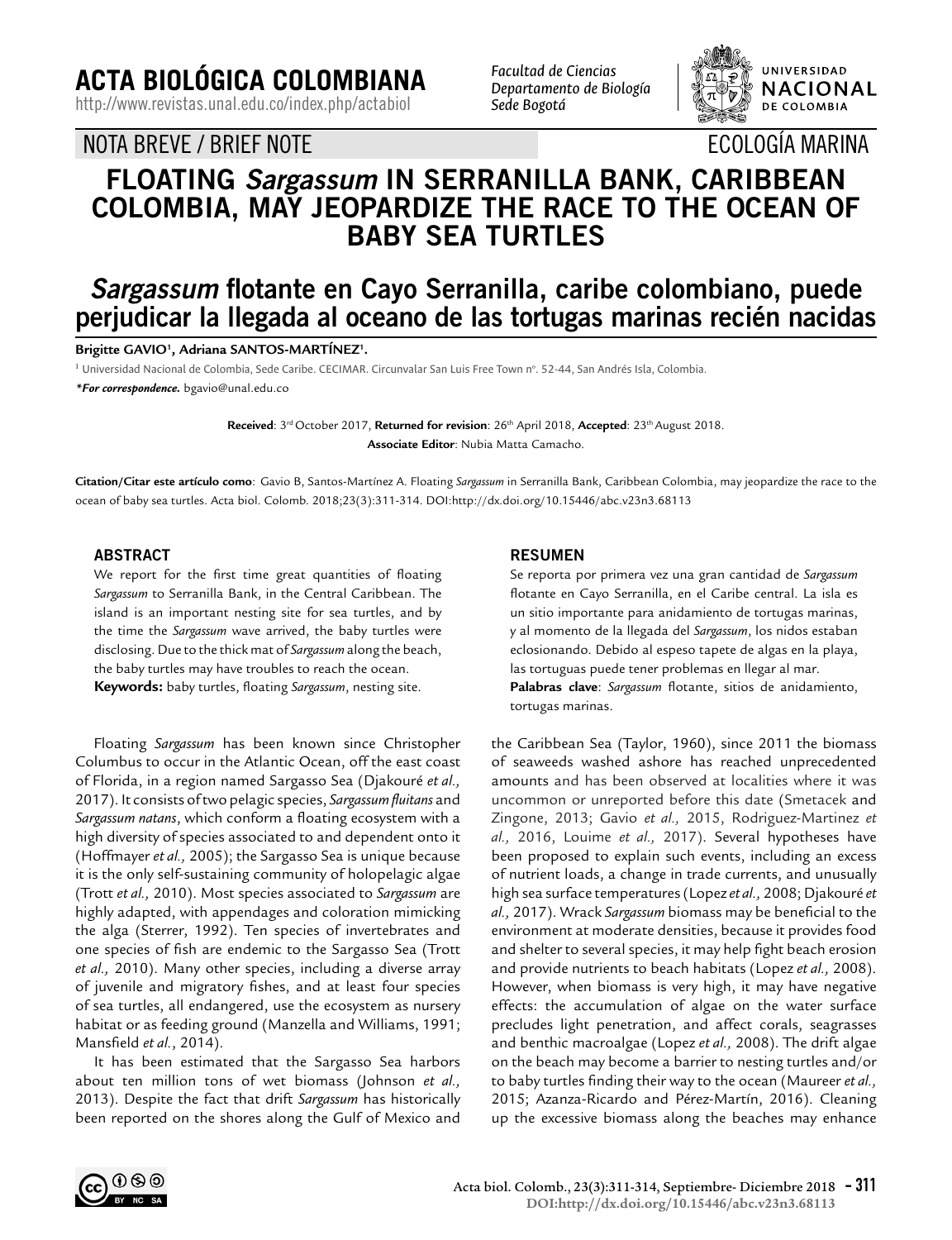**ACTA BIOLÓGICA COLOMBIANA**

http://www.revistas.unal.edu.co/index.php/actabiol

NOTA BREVE / BRIEF NOTE

*Facultad de Ciencias Departamento de Biología Sede Bogotá*



ECOLOGÍA MARINA

# **FLOATING Sargassum IN SERRANILLA BANK, CARIBBEAN COLOMBIA, MAY JEOPARDIZE THE RACE TO THE OCEAN OF BABY SEA TURTLES**

# **Sargassum flotante en Cayo Serranilla, caribe colombiano, puede perjudicar la llegada al oceano de las tortugas marinas recién nacidas**

**Brigitte GAVIO1 , Adriana SANTOS-MARTÍNEZ1 .**

<sup>1</sup> Universidad Nacional de Colombia, Sede Caribe. CECIMAR. Circunvalar San Luis Free Town n°. 52-44, San Andrés Isla, Colombia.

*\*For correspondence.* bgavio@unal.edu.co

**Received**: 3rd October 2017, **Returned for revision**: 26th April 2018, **Accepted**: 23th August 2018. **Associate Editor**: Nubia Matta Camacho.

**Citation/Citar este artículo como**: Gavio B, Santos-Martínez A. Floating *Sargassum* in Serranilla Bank, Caribbean Colombia, may jeopardize the race to the ocean of baby sea turtles. Acta biol. Colomb. 2018;23(3):311-314. DOI:http://dx.doi.org/10.15446/abc.v23n3.68113

# **ABSTRACT**

We report for the first time great quantities of floating *Sargassum* to Serranilla Bank, in the Central Caribbean. The island is an important nesting site for sea turtles, and by the time the *Sargassum* wave arrived, the baby turtles were disclosing. Due to the thick mat of *Sargassum* along the beach, the baby turtles may have troubles to reach the ocean. **Keywords:** baby turtles, floating *Sargassum*, nesting site.

Floating *Sargassum* has been known since Christopher Columbus to occur in the Atlantic Ocean, off the east coast of Florida, in a region named Sargasso Sea (Djakouré *et al.,* 2017). It consists of two pelagic species, *Sargassum fluitans* and *Sargassum natans*, which conform a floating ecosystem with a high diversity of species associated to and dependent onto it (Hoffmayer *et al.,* 2005); the Sargasso Sea is unique because it is the only self-sustaining community of holopelagic algae (Trott *et al.,* 2010). Most species associated to *Sargassum* are highly adapted, with appendages and coloration mimicking the alga (Sterrer, 1992). Ten species of invertebrates and one species of fish are endemic to the Sargasso Sea (Trott *et al.,* 2010). Many other species, including a diverse array of juvenile and migratory fishes, and at least four species of sea turtles, all endangered, use the ecosystem as nursery habitat or as feeding ground (Manzella and Williams, 1991; Mansfield *et al.*, 2014).

It has been estimated that the Sargasso Sea harbors about ten million tons of wet biomass (Johnson *et al.,* 2013). Despite the fact that drift *Sargassum* has historically been reported on the shores along the Gulf of Mexico and

#### **RESUMEN**

Se reporta por primera vez una gran cantidad de *Sargassum* flotante en Cayo Serranilla, en el Caribe central. La isla es un sitio importante para anidamiento de tortugas marinas, y al momento de la llegada del *Sargassum*, los nidos estaban eclosionando. Debido al espeso tapete de algas en la playa, las tortuguas puede tener problemas en llegar al mar. **Palabras clave**: *Sargassum* flotante, sitios de anidamiento, tortugas marinas.

the Caribbean Sea (Taylor, 1960), since 2011 the biomass of seaweeds washed ashore has reached unprecedented amounts and has been observed at localities where it was uncommon or unreported before this date (Smetacek and Zingone, 2013; Gavio *et al.,* 2015, Rodriguez-Martinez *et al.,* 2016, Louime *et al.,* 2017). Several hypotheses have been proposed to explain such events, including an excess of nutrient loads, a change in trade currents, and unusually high sea surface temperatures (Lopez *et al.,* 2008; Djakouré *et al.,* 2017). Wrack *Sargassum* biomass may be beneficial to the environment at moderate densities, because it provides food and shelter to several species, it may help fight beach erosion and provide nutrients to beach habitats (Lopez *et al.,* 2008). However, when biomass is very high, it may have negative effects: the accumulation of algae on the water surface precludes light penetration, and affect corals, seagrasses and benthic macroalgae (Lopez *et al.,* 2008). The drift algae on the beach may become a barrier to nesting turtles and/or to baby turtles finding their way to the ocean (Maureer *et al.,* 2015; Azanza-Ricardo and Pérez-Martín, 2016). Cleaning up the excessive biomass along the beaches may enhance

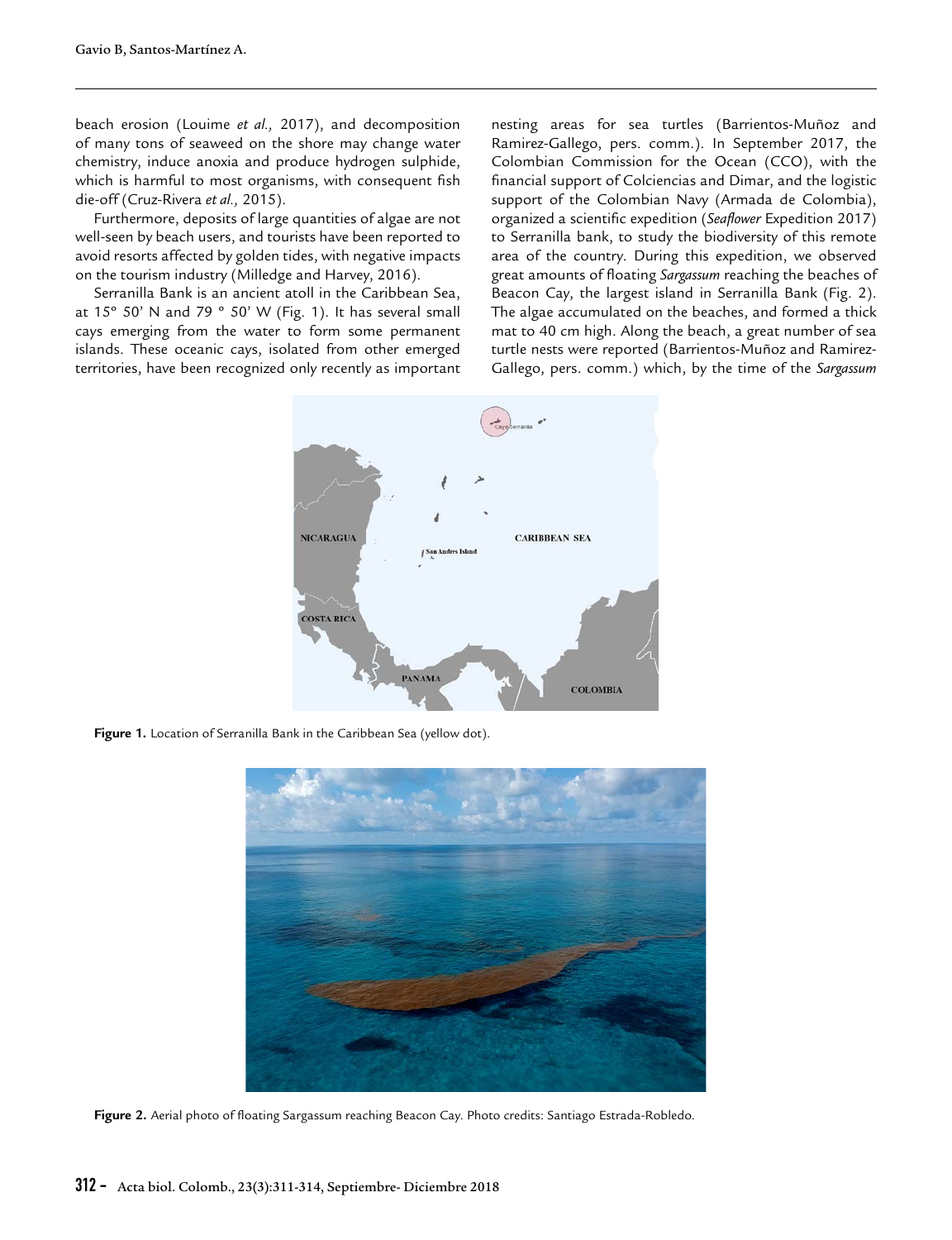beach erosion (Louime *et al.,* 2017), and decomposition of many tons of seaweed on the shore may change water chemistry, induce anoxia and produce hydrogen sulphide, which is harmful to most organisms, with consequent fish die-off (Cruz-Rivera *et al.,* 2015).

Furthermore, deposits of large quantities of algae are not well-seen by beach users, and tourists have been reported to avoid resorts affected by golden tides, with negative impacts on the tourism industry (Milledge and Harvey, 2016).

Serranilla Bank is an ancient atoll in the Caribbean Sea, at 15° 50' N and 79 ° 50' W (Fig. 1). It has several small cays emerging from the water to form some permanent islands. These oceanic cays, isolated from other emerged territories, have been recognized only recently as important

nesting areas for sea turtles (Barrientos-Muñoz and Ramirez-Gallego, pers. comm.). In September 2017, the Colombian Commission for the Ocean (CCO), with the financial support of Colciencias and Dimar, and the logistic support of the Colombian Navy (Armada de Colombia), organized a scientific expedition (*Seaflower* Expedition 2017) to Serranilla bank, to study the biodiversity of this remote area of the country. During this expedition, we observed great amounts of floating *Sargassum* reaching the beaches of Beacon Cay, the largest island in Serranilla Bank (Fig. 2). The algae accumulated on the beaches, and formed a thick mat to 40 cm high. Along the beach, a great number of sea turtle nests were reported (Barrientos-Muñoz and Ramirez-Gallego, pers. comm.) which, by the time of the *Sargassum*



Figure 1. Location of Serranilla Bank in the Caribbean Sea (yellow dot).



**Figure 2.** Aerial photo of floating Sargassum reaching Beacon Cay. Photo credits: Santiago Estrada-Robledo.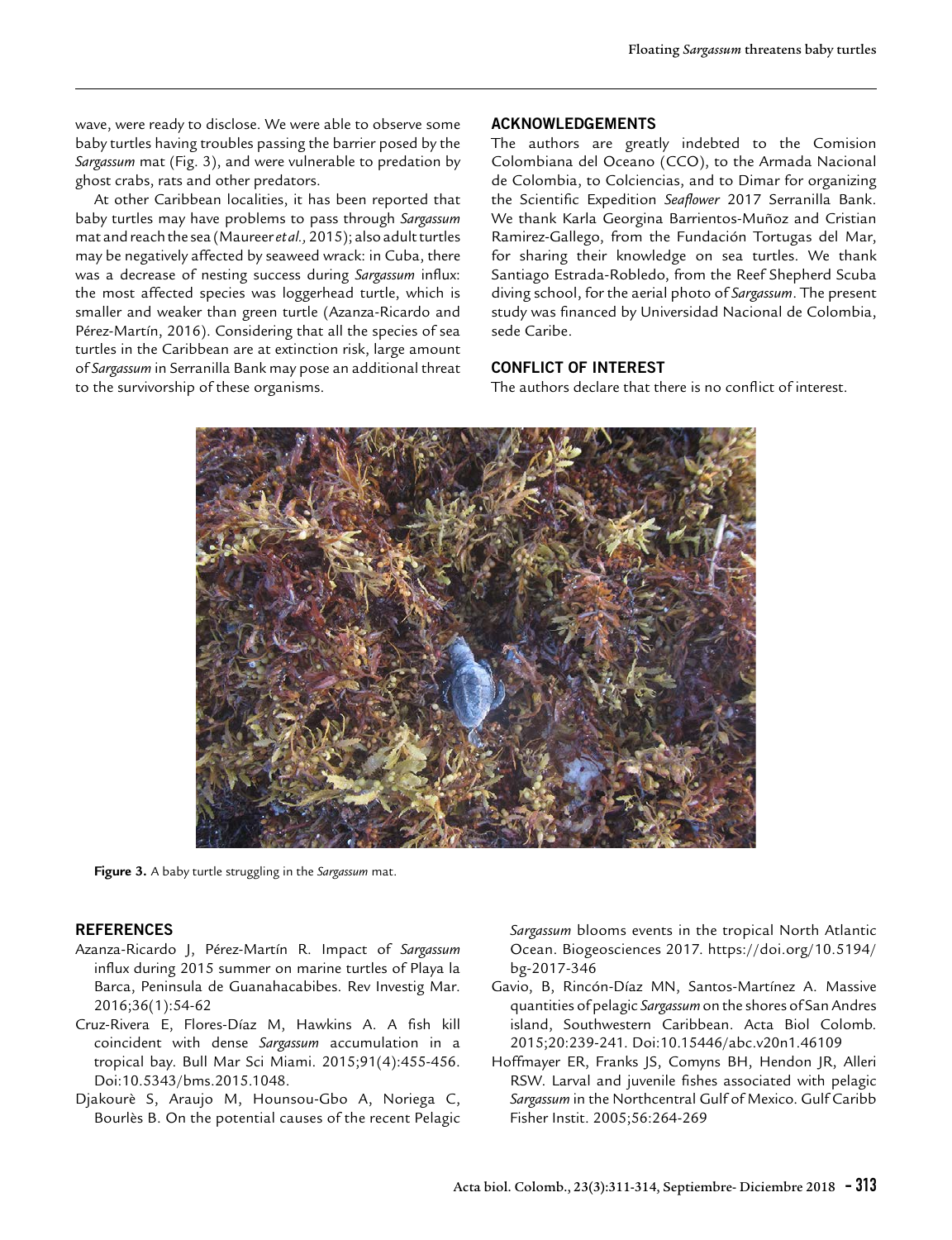wave, were ready to disclose. We were able to observe some baby turtles having troubles passing the barrier posed by the *Sargassum* mat (Fig. 3), and were vulnerable to predation by ghost crabs, rats and other predators.

At other Caribbean localities, it has been reported that baby turtles may have problems to pass through *Sargassum* mat and reach the sea (Maureer *et al.,* 2015); also adult turtles may be negatively affected by seaweed wrack: in Cuba, there was a decrease of nesting success during *Sargassum* influx: the most affected species was loggerhead turtle, which is smaller and weaker than green turtle (Azanza-Ricardo and Pérez-Martín, 2016). Considering that all the species of sea turtles in the Caribbean are at extinction risk, large amount of *Sargassum* in Serranilla Bank may pose an additional threat to the survivorship of these organisms.

#### **ACKNOWLEDGEMENTS**

The authors are greatly indebted to the Comision Colombiana del Oceano (CCO), to the Armada Nacional de Colombia, to Colciencias, and to Dimar for organizing the Scientific Expedition *Seaflower* 2017 Serranilla Bank. We thank Karla Georgina Barrientos-Muñoz and Cristian Ramirez-Gallego, from the Fundación Tortugas del Mar, for sharing their knowledge on sea turtles. We thank Santiago Estrada-Robledo, from the Reef Shepherd Scuba diving school, for the aerial photo of *Sargassum*. The present study was financed by Universidad Nacional de Colombia, sede Caribe.

## **CONFLICT OF INTEREST**

The authors declare that there is no conflict of interest.



**Figure 3.** A baby turtle struggling in the *Sargassum* mat.

### **REFERENCES**

- Azanza-Ricardo J, Pérez-Martín R. Impact of *Sargassum* influx during 2015 summer on marine turtles of Playa la Barca, Peninsula de Guanahacabibes. Rev Investig Mar. 2016;36(1):54-62
- Cruz-Rivera E, Flores-Díaz M, Hawkins A. A fish kill coincident with dense *Sargassum* accumulation in a tropical bay. Bull Mar Sci Miami. 2015;91(4):455-456. Doi:10.5343/bms.2015.1048.
- Djakourè S, Araujo M, Hounsou-Gbo A, Noriega C, Bourlès B. On the potential causes of the recent Pelagic

*Sargassum* blooms events in the tropical North Atlantic Ocean. Biogeosciences 2017. https://doi.org/10.5194/ bg-2017-346

- Gavio, B, Rincón-Díaz MN, Santos-Martínez A. Massive quantities of pelagic *Sargassum* on the shores of San Andres island, Southwestern Caribbean. Acta Biol Colomb. 2015;20:239-241. Doi:10.15446/abc.v20n1.46109
- Hoffmayer ER, Franks JS, Comyns BH, Hendon JR, Alleri RSW. Larval and juvenile fishes associated with pelagic *Sargassum* in the Northcentral Gulf of Mexico. Gulf Caribb Fisher Instit. 2005;56:264-269